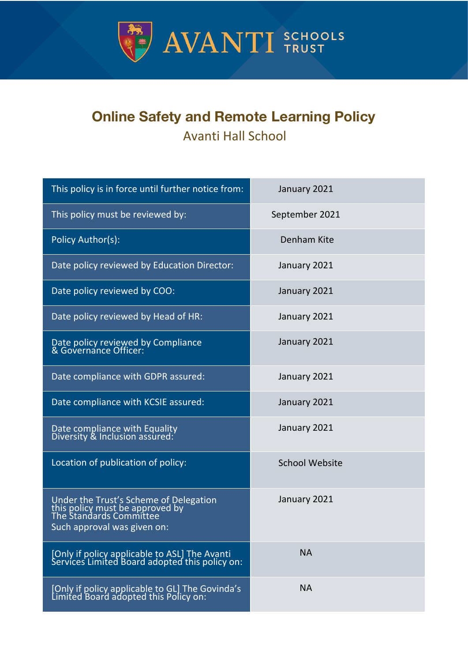

# **Online Safety and Remote Learning Policy** Avanti Hall School

| This policy is in force until further notice from:                                                                                  | January 2021          |
|-------------------------------------------------------------------------------------------------------------------------------------|-----------------------|
| This policy must be reviewed by:                                                                                                    | September 2021        |
| Policy Author(s):                                                                                                                   | Denham Kite           |
| Date policy reviewed by Education Director:                                                                                         | January 2021          |
| Date policy reviewed by COO:                                                                                                        | January 2021          |
| Date policy reviewed by Head of HR:                                                                                                 | January 2021          |
| Date policy reviewed by Compliance<br>& Governance Officer:                                                                         | January 2021          |
| Date compliance with GDPR assured:                                                                                                  | January 2021          |
| Date compliance with KCSIE assured:                                                                                                 | January 2021          |
| Date compliance with Equality<br>Diversity & Inclusion assured:                                                                     | January 2021          |
| Location of publication of policy:                                                                                                  | <b>School Website</b> |
| Under the Trust's Scheme of Delegation<br>this policy must be approved by<br>The Standards Committee<br>Such approval was given on: | January 2021          |
| [Only if policy applicable to ASL] The Avanti<br>Services Limited Board adopted this policy on:                                     | <b>NA</b>             |
| [Only if policy applicable to GL] The Govinda's<br>Limited Board adopted this Policy on:                                            | <b>NA</b>             |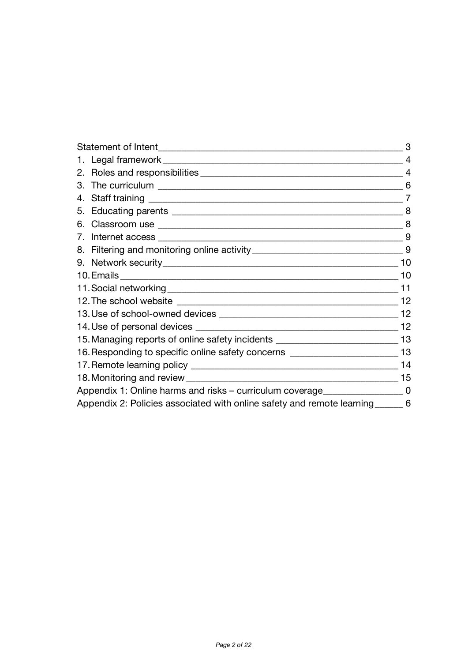|                                                                                      | З              |
|--------------------------------------------------------------------------------------|----------------|
|                                                                                      | 4              |
|                                                                                      | 4              |
|                                                                                      | 6              |
|                                                                                      | $\overline{7}$ |
|                                                                                      | 8              |
|                                                                                      |                |
|                                                                                      | 9              |
|                                                                                      |                |
|                                                                                      | 10             |
|                                                                                      | 10             |
|                                                                                      | 11             |
|                                                                                      | 12             |
|                                                                                      |                |
|                                                                                      | 12             |
| 15. Managing reports of online safety incidents _________________________________ 13 |                |
| 16. Responding to specific online safety concerns ______________________________13   |                |
|                                                                                      | 14             |
|                                                                                      |                |
| Appendix 1: Online harms and risks – curriculum coverage_____________________0       |                |
| Appendix 2: Policies associated with online safety and remote learning _______ 6     |                |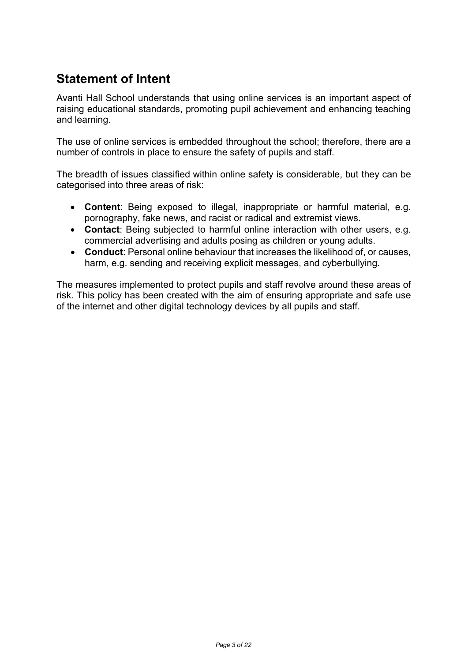# **Statement of Intent**

Avanti Hall School understands that using online services is an important aspect of raising educational standards, promoting pupil achievement and enhancing teaching and learning.

The use of online services is embedded throughout the school; therefore, there are a number of controls in place to ensure the safety of pupils and staff.

The breadth of issues classified within online safety is considerable, but they can be categorised into three areas of risk:

- **Content**: Being exposed to illegal, inappropriate or harmful material, e.g. pornography, fake news, and racist or radical and extremist views.
- **Contact**: Being subjected to harmful online interaction with other users, e.g. commercial advertising and adults posing as children or young adults.
- **Conduct**: Personal online behaviour that increases the likelihood of, or causes, harm, e.g. sending and receiving explicit messages, and cyberbullying.

The measures implemented to protect pupils and staff revolve around these areas of risk. This policy has been created with the aim of ensuring appropriate and safe use of the internet and other digital technology devices by all pupils and staff.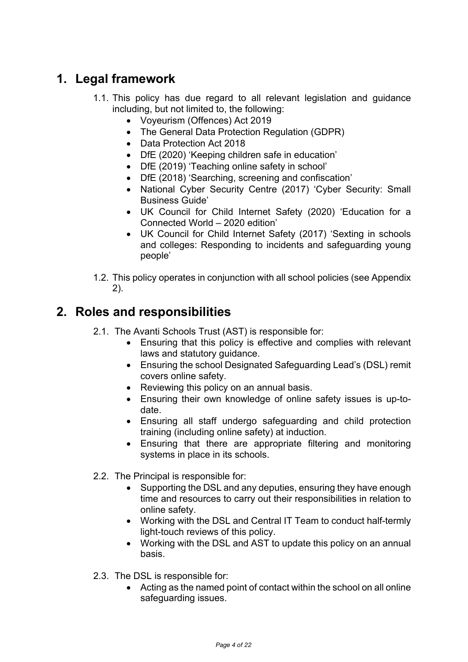# **1. Legal framework**

- 1.1. This policy has due regard to all relevant legislation and guidance including, but not limited to, the following:
	- Voyeurism (Offences) Act 2019
	- The General Data Protection Regulation (GDPR)
	- Data Protection Act 2018
	- DfE (2020) 'Keeping children safe in education'
	- DfE (2019) 'Teaching online safety in school'
	- DfE (2018) 'Searching, screening and confiscation'
	- National Cyber Security Centre (2017) 'Cyber Security: Small Business Guide'
	- UK Council for Child Internet Safety (2020) 'Education for a Connected World – 2020 edition'
	- UK Council for Child Internet Safety (2017) 'Sexting in schools and colleges: Responding to incidents and safeguarding young people'
- 1.2. This policy operates in conjunction with all school policies (see Appendix 2).

## **2. Roles and responsibilities**

- 2.1. The Avanti Schools Trust (AST) is responsible for:
	- Ensuring that this policy is effective and complies with relevant laws and statutory guidance.
	- Ensuring the school Designated Safeguarding Lead's (DSL) remit covers online safety.
	- Reviewing this policy on an annual basis.
	- Ensuring their own knowledge of online safety issues is up-todate.
	- Ensuring all staff undergo safeguarding and child protection training (including online safety) at induction.
	- Ensuring that there are appropriate filtering and monitoring systems in place in its schools.
- 2.2. The Principal is responsible for:
	- Supporting the DSL and any deputies, ensuring they have enough time and resources to carry out their responsibilities in relation to online safety.
	- Working with the DSL and Central IT Team to conduct half-termly light-touch reviews of this policy.
	- Working with the DSL and AST to update this policy on an annual basis.
- 2.3. The DSL is responsible for:
	- Acting as the named point of contact within the school on all online safeguarding issues.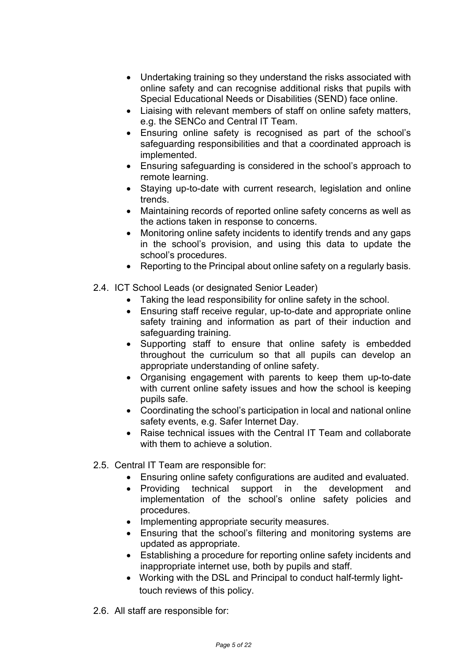- Undertaking training so they understand the risks associated with online safety and can recognise additional risks that pupils with Special Educational Needs or Disabilities (SEND) face online.
- Liaising with relevant members of staff on online safety matters, e.g. the SENCo and Central IT Team.
- Ensuring online safety is recognised as part of the school's safeguarding responsibilities and that a coordinated approach is implemented.
- Ensuring safeguarding is considered in the school's approach to remote learning.
- Staying up-to-date with current research, legislation and online trends.
- Maintaining records of reported online safety concerns as well as the actions taken in response to concerns.
- Monitoring online safety incidents to identify trends and any gaps in the school's provision, and using this data to update the school's procedures.
- Reporting to the Principal about online safety on a regularly basis.
- 2.4. ICT School Leads (or designated Senior Leader)
	- Taking the lead responsibility for online safety in the school.
	- Ensuring staff receive regular, up-to-date and appropriate online safety training and information as part of their induction and safeguarding training.
	- Supporting staff to ensure that online safety is embedded throughout the curriculum so that all pupils can develop an appropriate understanding of online safety.
	- Organising engagement with parents to keep them up-to-date with current online safety issues and how the school is keeping pupils safe.
	- Coordinating the school's participation in local and national online safety events, e.g. Safer Internet Day.
	- Raise technical issues with the Central IT Team and collaborate with them to achieve a solution.
- 2.5. Central IT Team are responsible for:
	- Ensuring online safety configurations are audited and evaluated.
	- Providing technical support in the development and implementation of the school's online safety policies and procedures.
	- Implementing appropriate security measures.
	- Ensuring that the school's filtering and monitoring systems are updated as appropriate.
	- Establishing a procedure for reporting online safety incidents and inappropriate internet use, both by pupils and staff.
	- Working with the DSL and Principal to conduct half-termly lighttouch reviews of this policy.
- 2.6. All staff are responsible for: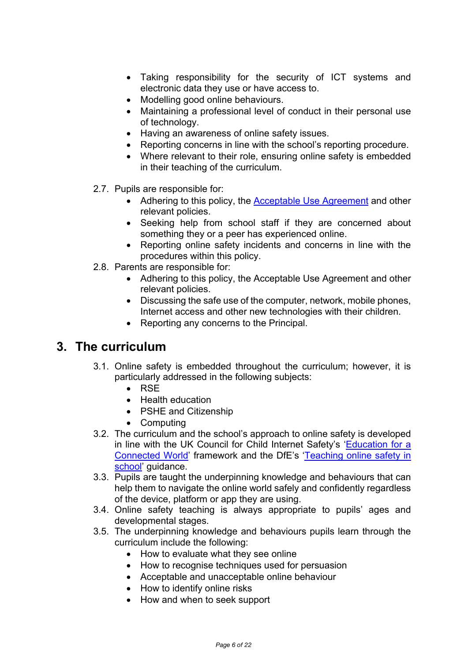- Taking responsibility for the security of ICT systems and electronic data they use or have access to.
- Modelling good online behaviours.
- Maintaining a professional level of conduct in their personal use of technology.
- Having an awareness of online safety issues.
- Reporting concerns in line with the school's reporting procedure.
- Where relevant to their role, ensuring online safety is embedded in their teaching of the curriculum.
- 2.7. Pupils are responsible for:
	- Adhering to this policy, the **Acceptable Use Agreement and other** relevant policies.
	- Seeking help from school staff if they are concerned about something they or a peer has experienced online.
	- Reporting online safety incidents and concerns in line with the procedures within this policy.
- 2.8. Parents are responsible for:
	- Adhering to this policy, the Acceptable Use Agreement and other relevant policies.
	- Discussing the safe use of the computer, network, mobile phones, Internet access and other new technologies with their children.
	- Reporting any concerns to the Principal.

### **3. The curriculum**

- 3.1. Online safety is embedded throughout the curriculum; however, it is particularly addressed in the following subjects:
	- RSE
	- Health education
	- PSHE and Citizenship
	- Computing
- 3.2. The curriculum and the school's approach to online safety is developed in line with the UK Council for Child Internet Safety's 'Education for a Connected World' framework and the DfE's 'Teaching online safety in school' guidance.
- 3.3. Pupils are taught the underpinning knowledge and behaviours that can help them to navigate the online world safely and confidently regardless of the device, platform or app they are using.
- 3.4. Online safety teaching is always appropriate to pupils' ages and developmental stages.
- 3.5. The underpinning knowledge and behaviours pupils learn through the curriculum include the following:
	- How to evaluate what they see online
	- How to recognise techniques used for persuasion
	- Acceptable and unacceptable online behaviour
	- How to identify online risks
	- How and when to seek support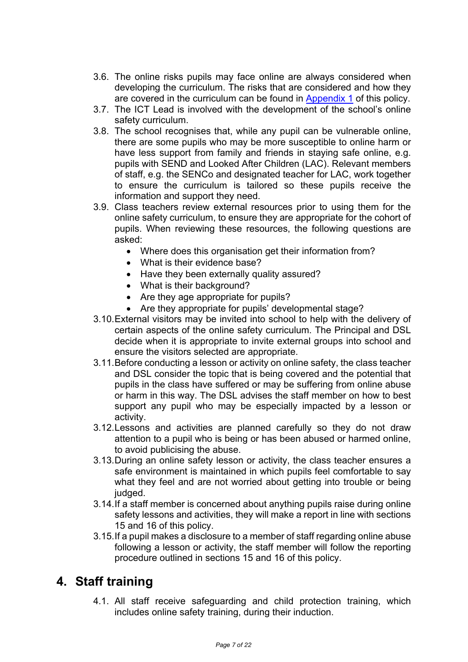- 3.6. The online risks pupils may face online are always considered when developing the curriculum. The risks that are considered and how they are covered in the curriculum can be found in Appendix 1 of this policy.
- 3.7. The ICT Lead is involved with the development of the school's online safety curriculum.
- 3.8. The school recognises that, while any pupil can be vulnerable online, there are some pupils who may be more susceptible to online harm or have less support from family and friends in staying safe online, e.g. pupils with SEND and Looked After Children (LAC). Relevant members of staff, e.g. the SENCo and designated teacher for LAC, work together to ensure the curriculum is tailored so these pupils receive the information and support they need.
- 3.9. Class teachers review external resources prior to using them for the online safety curriculum, to ensure they are appropriate for the cohort of pupils. When reviewing these resources, the following questions are asked:
	- Where does this organisation get their information from?
	- What is their evidence base?
	- Have they been externally quality assured?
	- What is their background?
	- Are they age appropriate for pupils?
	- Are they appropriate for pupils' developmental stage?
- 3.10.External visitors may be invited into school to help with the delivery of certain aspects of the online safety curriculum. The Principal and DSL decide when it is appropriate to invite external groups into school and ensure the visitors selected are appropriate.
- 3.11.Before conducting a lesson or activity on online safety, the class teacher and DSL consider the topic that is being covered and the potential that pupils in the class have suffered or may be suffering from online abuse or harm in this way. The DSL advises the staff member on how to best support any pupil who may be especially impacted by a lesson or activity.
- 3.12.Lessons and activities are planned carefully so they do not draw attention to a pupil who is being or has been abused or harmed online, to avoid publicising the abuse.
- 3.13.During an online safety lesson or activity, the class teacher ensures a safe environment is maintained in which pupils feel comfortable to say what they feel and are not worried about getting into trouble or being judged.
- 3.14.If a staff member is concerned about anything pupils raise during online safety lessons and activities, they will make a report in line with sections 15 and 16 of this policy.
- 3.15.If a pupil makes a disclosure to a member of staff regarding online abuse following a lesson or activity, the staff member will follow the reporting procedure outlined in sections 15 and 16 of this policy.

## **4. Staff training**

4.1. All staff receive safeguarding and child protection training, which includes online safety training, during their induction.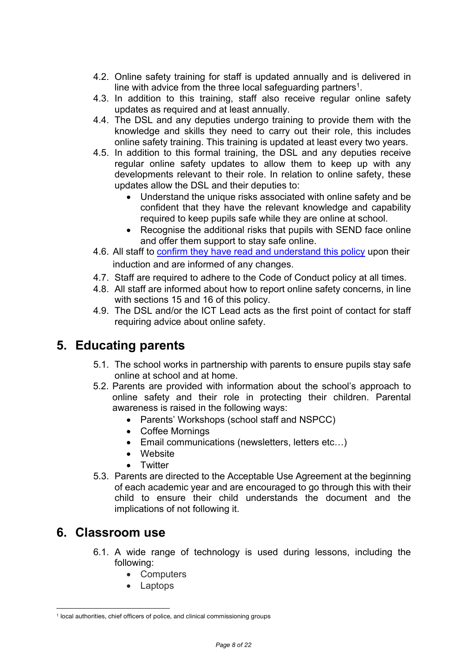- 4.2. Online safety training for staff is updated annually and is delivered in line with advice from the three local safeguarding partners<sup>1</sup>.
- 4.3. In addition to this training, staff also receive regular online safety updates as required and at least annually.
- 4.4. The DSL and any deputies undergo training to provide them with the knowledge and skills they need to carry out their role, this includes online safety training. This training is updated at least every two years.
- 4.5. In addition to this formal training, the DSL and any deputies receive regular online safety updates to allow them to keep up with any developments relevant to their role. In relation to online safety, these updates allow the DSL and their deputies to:
	- Understand the unique risks associated with online safety and be confident that they have the relevant knowledge and capability required to keep pupils safe while they are online at school.
	- Recognise the additional risks that pupils with SEND face online and offer them support to stay safe online.
- 4.6. All staff to confirm they have read and understand this policy upon their induction and are informed of any changes.
- 4.7. Staff are required to adhere to the Code of Conduct policy at all times.
- 4.8. All staff are informed about how to report online safety concerns, in line with sections 15 and 16 of this policy.
- 4.9. The DSL and/or the ICT Lead acts as the first point of contact for staff requiring advice about online safety.

# **5. Educating parents**

- 5.1. The school works in partnership with parents to ensure pupils stay safe online at school and at home.
- 5.2. Parents are provided with information about the school's approach to online safety and their role in protecting their children. Parental awareness is raised in the following ways:
	- Parents' Workshops (school staff and NSPCC)
	- Coffee Mornings
	- Email communications (newsletters, letters etc…)
	- Website
	- Twitter
- 5.3. Parents are directed to the Acceptable Use Agreement at the beginning of each academic year and are encouraged to go through this with their child to ensure their child understands the document and the implications of not following it.

## **6. Classroom use**

- 6.1. A wide range of technology is used during lessons, including the following:
	- Computers
	- Laptops

<sup>1</sup> local authorities, chief officers of police, and clinical commissioning groups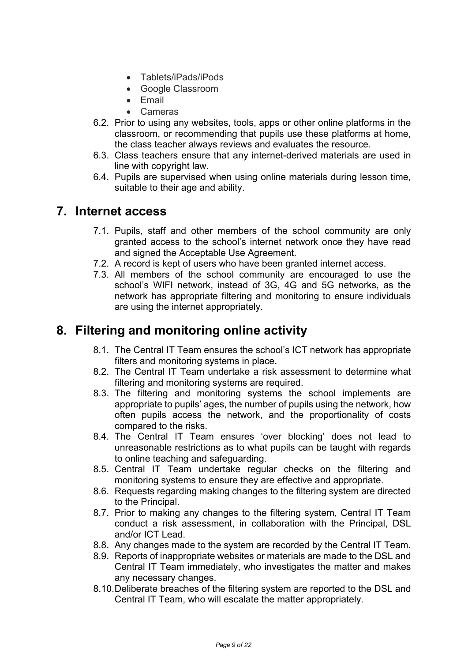- Tablets/iPads/iPods
- Google Classroom
- Email
- Cameras
- 6.2. Prior to using any websites, tools, apps or other online platforms in the classroom, or recommending that pupils use these platforms at home, the class teacher always reviews and evaluates the resource.
- 6.3. Class teachers ensure that any internet-derived materials are used in line with copyright law.
- 6.4. Pupils are supervised when using online materials during lesson time, suitable to their age and ability.

### **7. Internet access**

- 7.1. Pupils, staff and other members of the school community are only granted access to the school's internet network once they have read and signed the Acceptable Use Agreement.
- 7.2. A record is kept of users who have been granted internet access.
- 7.3. All members of the school community are encouraged to use the school's WIFI network, instead of 3G, 4G and 5G networks, as the network has appropriate filtering and monitoring to ensure individuals are using the internet appropriately.

# **8. Filtering and monitoring online activity**

- 8.1. The Central IT Team ensures the school's ICT network has appropriate filters and monitoring systems in place.
- 8.2. The Central IT Team undertake a risk assessment to determine what filtering and monitoring systems are required.
- 8.3. The filtering and monitoring systems the school implements are appropriate to pupils' ages, the number of pupils using the network, how often pupils access the network, and the proportionality of costs compared to the risks.
- 8.4. The Central IT Team ensures 'over blocking' does not lead to unreasonable restrictions as to what pupils can be taught with regards to online teaching and safeguarding.
- 8.5. Central IT Team undertake regular checks on the filtering and monitoring systems to ensure they are effective and appropriate.
- 8.6. Requests regarding making changes to the filtering system are directed to the Principal.
- 8.7. Prior to making any changes to the filtering system, Central IT Team conduct a risk assessment, in collaboration with the Principal, DSL and/or ICT Lead.
- 8.8. Any changes made to the system are recorded by the Central IT Team.
- 8.9. Reports of inappropriate websites or materials are made to the DSL and Central IT Team immediately, who investigates the matter and makes any necessary changes.
- 8.10.Deliberate breaches of the filtering system are reported to the DSL and Central IT Team, who will escalate the matter appropriately.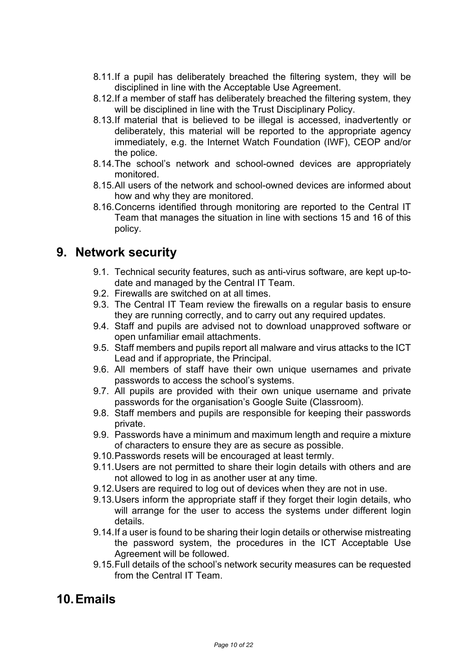- 8.11.If a pupil has deliberately breached the filtering system, they will be disciplined in line with the Acceptable Use Agreement.
- 8.12.If a member of staff has deliberately breached the filtering system, they will be disciplined in line with the Trust Disciplinary Policy.
- 8.13.If material that is believed to be illegal is accessed, inadvertently or deliberately, this material will be reported to the appropriate agency immediately, e.g. the Internet Watch Foundation (IWF), CEOP and/or the police.
- 8.14.The school's network and school-owned devices are appropriately monitored.
- 8.15.All users of the network and school-owned devices are informed about how and why they are monitored.
- 8.16.Concerns identified through monitoring are reported to the Central IT Team that manages the situation in line with sections 15 and 16 of this policy.

### **9. Network security**

- 9.1. Technical security features, such as anti-virus software, are kept up-todate and managed by the Central IT Team.
- 9.2. Firewalls are switched on at all times.
- 9.3. The Central IT Team review the firewalls on a regular basis to ensure they are running correctly, and to carry out any required updates.
- 9.4. Staff and pupils are advised not to download unapproved software or open unfamiliar email attachments.
- 9.5. Staff members and pupils report all malware and virus attacks to the ICT Lead and if appropriate, the Principal.
- 9.6. All members of staff have their own unique usernames and private passwords to access the school's systems.
- 9.7. All pupils are provided with their own unique username and private passwords for the organisation's Google Suite (Classroom).
- 9.8. Staff members and pupils are responsible for keeping their passwords private.
- 9.9. Passwords have a minimum and maximum length and require a mixture of characters to ensure they are as secure as possible.
- 9.10.Passwords resets will be encouraged at least termly.
- 9.11.Users are not permitted to share their login details with others and are not allowed to log in as another user at any time.
- 9.12.Users are required to log out of devices when they are not in use.
- 9.13.Users inform the appropriate staff if they forget their login details, who will arrange for the user to access the systems under different login details.
- 9.14.If a user is found to be sharing their login details or otherwise mistreating the password system, the procedures in the ICT Acceptable Use Agreement will be followed.
- 9.15.Full details of the school's network security measures can be requested from the Central IT Team.

## **10.Emails**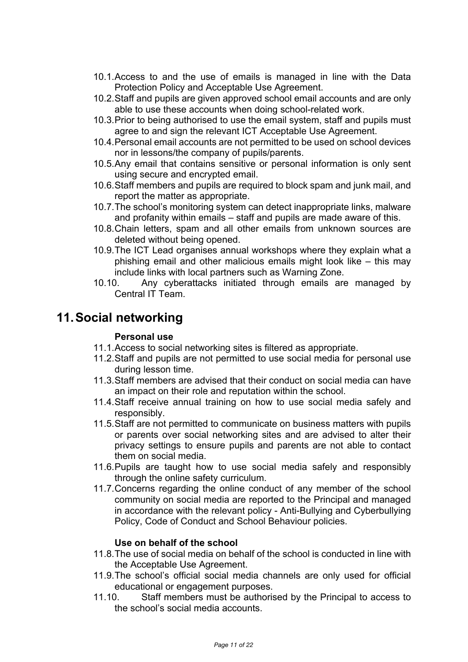- 10.1.Access to and the use of emails is managed in line with the Data Protection Policy and Acceptable Use Agreement.
- 10.2.Staff and pupils are given approved school email accounts and are only able to use these accounts when doing school-related work.
- 10.3.Prior to being authorised to use the email system, staff and pupils must agree to and sign the relevant ICT Acceptable Use Agreement.
- 10.4.Personal email accounts are not permitted to be used on school devices nor in lessons/the company of pupils/parents.
- 10.5.Any email that contains sensitive or personal information is only sent using secure and encrypted email.
- 10.6.Staff members and pupils are required to block spam and junk mail, and report the matter as appropriate.
- 10.7.The school's monitoring system can detect inappropriate links, malware and profanity within emails – staff and pupils are made aware of this.
- 10.8.Chain letters, spam and all other emails from unknown sources are deleted without being opened.
- 10.9.The ICT Lead organises annual workshops where they explain what a phishing email and other malicious emails might look like – this may include links with local partners such as Warning Zone.
- 10.10. Any cyberattacks initiated through emails are managed by Central IT Team.

# **11.Social networking**

#### **Personal use**

- 11.1.Access to social networking sites is filtered as appropriate.
- 11.2.Staff and pupils are not permitted to use social media for personal use during lesson time.
- 11.3.Staff members are advised that their conduct on social media can have an impact on their role and reputation within the school.
- 11.4.Staff receive annual training on how to use social media safely and responsibly.
- 11.5.Staff are not permitted to communicate on business matters with pupils or parents over social networking sites and are advised to alter their privacy settings to ensure pupils and parents are not able to contact them on social media.
- 11.6.Pupils are taught how to use social media safely and responsibly through the online safety curriculum.
- 11.7.Concerns regarding the online conduct of any member of the school community on social media are reported to the Principal and managed in accordance with the relevant policy - Anti-Bullying and Cyberbullying Policy, Code of Conduct and School Behaviour policies.

#### **Use on behalf of the school**

- 11.8.The use of social media on behalf of the school is conducted in line with the Acceptable Use Agreement.
- 11.9.The school's official social media channels are only used for official educational or engagement purposes.
- 11.10. Staff members must be authorised by the Principal to access to the school's social media accounts.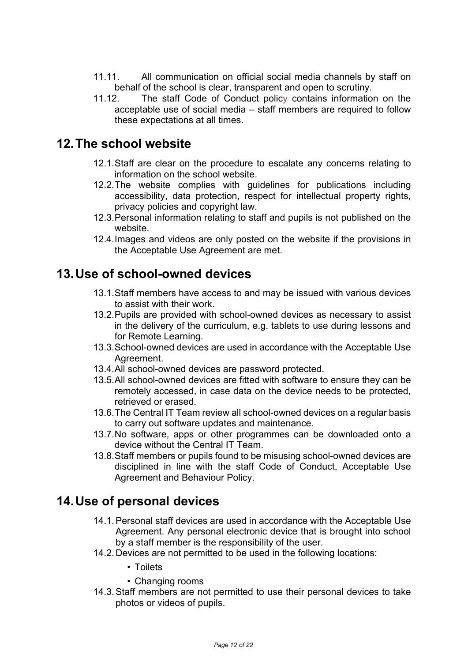- 11.11. All communication on official social media channels by staff on behalf of the school is clear, transparent and open to scrutiny.
- 11.12. The staff Code of Conduct policy contains information on the acceptable use of social media – staff members are required to follow these expectations at all times.

# **12.The school website**

- 12.1.Staff are clear on the procedure to escalate any concerns relating to information on the school website.
- 12.2.The website complies with guidelines for publications including accessibility, data protection, respect for intellectual property rights, privacy policies and copyright law.
- 12.3.Personal information relating to staff and pupils is not published on the website.
- 12.4.Images and videos are only posted on the website if the provisions in the Acceptable Use Agreement are met.

# **13.Use of school-owned devices**

- 13.1.Staff members have access to and may be issued with various devices to assist with their work.
- 13.2.Pupils are provided with school-owned devices as necessary to assist in the delivery of the curriculum, e.g. tablets to use during lessons and for Remote Learning.
- 13.3.School-owned devices are used in accordance with the Acceptable Use Agreement.
- 13.4.All school-owned devices are password protected.
- 13.5.All school-owned devices are fitted with software to ensure they can be remotely accessed, in case data on the device needs to be protected, retrieved or erased.
- 13.6.The Central IT Team review all school-owned devices on a regular basis to carry out software updates and maintenance.
- 13.7.No software, apps or other programmes can be downloaded onto a device without the Central IT Team.
- 13.8.Staff members or pupils found to be misusing school-owned devices are disciplined in line with the staff Code of Conduct, Acceptable Use Agreement and Behaviour Policy.

# **14.Use of personal devices**

- 14.1.Personal staff devices are used in accordance with the Acceptable Use Agreement. Any personal electronic device that is brought into school by a staff member is the responsibility of the user.
- 14.2.Devices are not permitted to be used in the following locations:
	- Toilets
	- Changing rooms
- 14.3.Staff members are not permitted to use their personal devices to take photos or videos of pupils.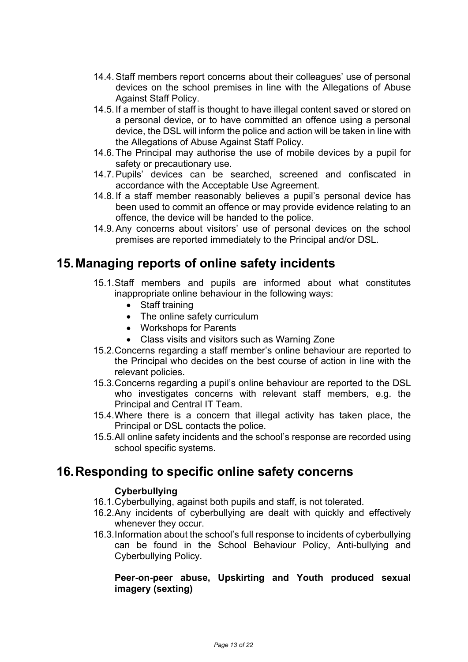- 14.4.Staff members report concerns about their colleagues' use of personal devices on the school premises in line with the Allegations of Abuse Against Staff Policy.
- 14.5.If a member of staff is thought to have illegal content saved or stored on a personal device, or to have committed an offence using a personal device, the DSL will inform the police and action will be taken in line with the Allegations of Abuse Against Staff Policy.
- 14.6.The Principal may authorise the use of mobile devices by a pupil for safety or precautionary use.
- 14.7.Pupils' devices can be searched, screened and confiscated in accordance with the Acceptable Use Agreement.
- 14.8.If a staff member reasonably believes a pupil's personal device has been used to commit an offence or may provide evidence relating to an offence, the device will be handed to the police.
- 14.9.Any concerns about visitors' use of personal devices on the school premises are reported immediately to the Principal and/or DSL.

### **15.Managing reports of online safety incidents**

- 15.1.Staff members and pupils are informed about what constitutes inappropriate online behaviour in the following ways:
	- Staff training
	- The online safety curriculum
	- Workshops for Parents
	- Class visits and visitors such as Warning Zone
- 15.2.Concerns regarding a staff member's online behaviour are reported to the Principal who decides on the best course of action in line with the relevant policies.
- 15.3.Concerns regarding a pupil's online behaviour are reported to the DSL who investigates concerns with relevant staff members, e.g. the Principal and Central IT Team.
- 15.4.Where there is a concern that illegal activity has taken place, the Principal or DSL contacts the police.
- 15.5.All online safety incidents and the school's response are recorded using school specific systems.

### **16.Responding to specific online safety concerns**

#### **Cyberbullying**

- 16.1.Cyberbullying, against both pupils and staff, is not tolerated.
- 16.2.Any incidents of cyberbullying are dealt with quickly and effectively whenever they occur.
- 16.3.Information about the school's full response to incidents of cyberbullying can be found in the School Behaviour Policy, Anti-bullying and Cyberbullying Policy.

#### **Peer-on-peer abuse, Upskirting and Youth produced sexual imagery (sexting)**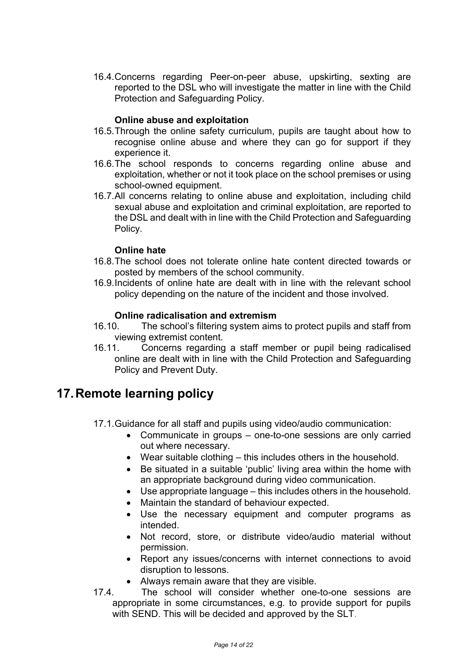16.4.Concerns regarding Peer-on-peer abuse, upskirting, sexting are reported to the DSL who will investigate the matter in line with the Child Protection and Safeguarding Policy.

#### **Online abuse and exploitation**

- 16.5.Through the online safety curriculum, pupils are taught about how to recognise online abuse and where they can go for support if they experience it.
- 16.6.The school responds to concerns regarding online abuse and exploitation, whether or not it took place on the school premises or using school-owned equipment.
- 16.7.All concerns relating to online abuse and exploitation, including child sexual abuse and exploitation and criminal exploitation, are reported to the DSL and dealt with in line with the Child Protection and Safeguarding Policy.

#### **Online hate**

- 16.8.The school does not tolerate online hate content directed towards or posted by members of the school community.
- 16.9.Incidents of online hate are dealt with in line with the relevant school policy depending on the nature of the incident and those involved.

#### **Online radicalisation and extremism**

- 16.10. The school's filtering system aims to protect pupils and staff from viewing extremist content.
- 16.11. Concerns regarding a staff member or pupil being radicalised online are dealt with in line with the Child Protection and Safeguarding Policy and Prevent Duty.

### **17.Remote learning policy**

- 17.1.Guidance for all staff and pupils using video/audio communication:
	- Communicate in groups one-to-one sessions are only carried out where necessary.
	- Wear suitable clothing this includes others in the household.
	- Be situated in a suitable 'public' living area within the home with an appropriate background during video communication.
	- Use appropriate language this includes others in the household.
	- Maintain the standard of behaviour expected.
	- Use the necessary equipment and computer programs as intended.
	- Not record, store, or distribute video/audio material without permission.
	- Report any issues/concerns with internet connections to avoid disruption to lessons.
	- Always remain aware that they are visible.
- 17.4. The school will consider whether one-to-one sessions are appropriate in some circumstances, e.g. to provide support for pupils with SEND. This will be decided and approved by the SLT.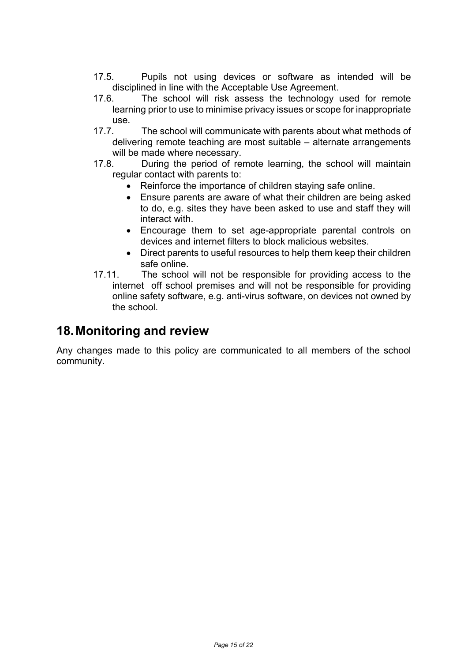- 17.5. Pupils not using devices or software as intended will be disciplined in line with the Acceptable Use Agreement.
- 17.6. The school will risk assess the technology used for remote learning prior to use to minimise privacy issues or scope for inappropriate use.
- 17.7. The school will communicate with parents about what methods of delivering remote teaching are most suitable – alternate arrangements will be made where necessary.
- 17.8. During the period of remote learning, the school will maintain regular contact with parents to:
	- Reinforce the importance of children staying safe online.
	- Ensure parents are aware of what their children are being asked to do, e.g. sites they have been asked to use and staff they will interact with.
	- Encourage them to set age-appropriate parental controls on devices and internet filters to block malicious websites.
	- Direct parents to useful resources to help them keep their children safe online.
- 17.11. The school will not be responsible for providing access to the internet off school premises and will not be responsible for providing online safety software, e.g. anti-virus software, on devices not owned by the school.

### **18.Monitoring and review**

Any changes made to this policy are communicated to all members of the school community.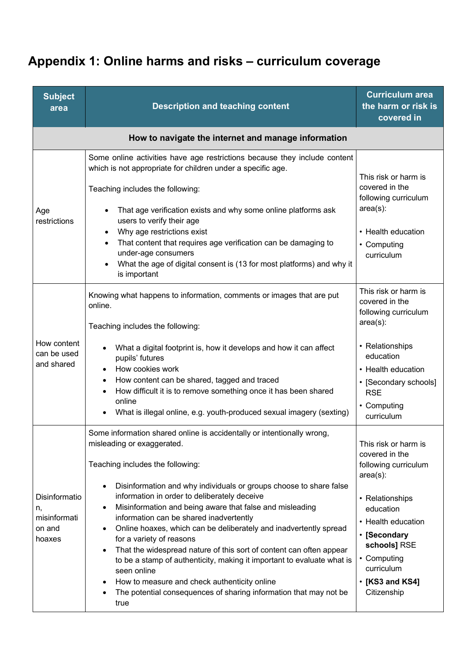# **Appendix 1: Online harms and risks – curriculum coverage**

| <b>Subject</b><br>area                                  | <b>Description and teaching content</b>                                                                                                                                                                                                                                                                                                                                                                                                                                                                                                                                                                                                                                                                                                                                       | <b>Curriculum area</b><br>the harm or risk is<br>covered in                                                                                                                                                                              |
|---------------------------------------------------------|-------------------------------------------------------------------------------------------------------------------------------------------------------------------------------------------------------------------------------------------------------------------------------------------------------------------------------------------------------------------------------------------------------------------------------------------------------------------------------------------------------------------------------------------------------------------------------------------------------------------------------------------------------------------------------------------------------------------------------------------------------------------------------|------------------------------------------------------------------------------------------------------------------------------------------------------------------------------------------------------------------------------------------|
|                                                         | How to navigate the internet and manage information                                                                                                                                                                                                                                                                                                                                                                                                                                                                                                                                                                                                                                                                                                                           |                                                                                                                                                                                                                                          |
| Age<br>restrictions                                     | Some online activities have age restrictions because they include content<br>which is not appropriate for children under a specific age.<br>Teaching includes the following:<br>That age verification exists and why some online platforms ask<br>users to verify their age<br>Why age restrictions exist<br>$\bullet$<br>That content that requires age verification can be damaging to<br>$\bullet$<br>under-age consumers<br>What the age of digital consent is (13 for most platforms) and why it<br>is important                                                                                                                                                                                                                                                         | This risk or harm is<br>covered in the<br>following curriculum<br>$area(s)$ :<br>• Health education<br>• Computing<br>curriculum                                                                                                         |
| How content<br>can be used<br>and shared                | Knowing what happens to information, comments or images that are put<br>online.<br>Teaching includes the following:<br>What a digital footprint is, how it develops and how it can affect<br>pupils' futures<br>How cookies work<br>$\bullet$<br>How content can be shared, tagged and traced<br>$\bullet$<br>How difficult it is to remove something once it has been shared<br>online<br>What is illegal online, e.g. youth-produced sexual imagery (sexting)                                                                                                                                                                                                                                                                                                               | This risk or harm is<br>covered in the<br>following curriculum<br>$area(s)$ :<br>• Relationships<br>education<br>• Health education<br>• [Secondary schools]<br><b>RSE</b><br>• Computing<br>curriculum                                  |
| Disinformatio<br>n,<br>misinformati<br>on and<br>hoaxes | Some information shared online is accidentally or intentionally wrong,<br>misleading or exaggerated.<br>Teaching includes the following:<br>Disinformation and why individuals or groups choose to share false<br>٠<br>information in order to deliberately deceive<br>Misinformation and being aware that false and misleading<br>٠<br>information can be shared inadvertently<br>Online hoaxes, which can be deliberately and inadvertently spread<br>for a variety of reasons<br>That the widespread nature of this sort of content can often appear<br>to be a stamp of authenticity, making it important to evaluate what is<br>seen online<br>How to measure and check authenticity online<br>The potential consequences of sharing information that may not be<br>true | This risk or harm is<br>covered in the<br>following curriculum<br>$area(s)$ :<br>• Relationships<br>education<br>• Health education<br>• [Secondary<br>schools] RSE<br>• Computing<br>curriculum<br>$\cdot$ [KS3 and KS4]<br>Citizenship |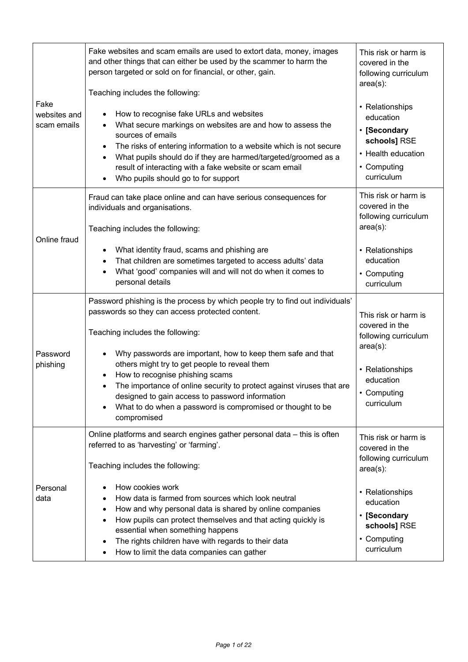| Fake<br>websites and<br>scam emails | Fake websites and scam emails are used to extort data, money, images<br>and other things that can either be used by the scammer to harm the<br>person targeted or sold on for financial, or other, gain.<br>Teaching includes the following:                                                                                                                         | This risk or harm is<br>covered in the<br>following curriculum<br>$area(s)$ :                                   |
|-------------------------------------|----------------------------------------------------------------------------------------------------------------------------------------------------------------------------------------------------------------------------------------------------------------------------------------------------------------------------------------------------------------------|-----------------------------------------------------------------------------------------------------------------|
|                                     | How to recognise fake URLs and websites<br>What secure markings on websites are and how to assess the<br>sources of emails<br>The risks of entering information to a website which is not secure<br>What pupils should do if they are harmed/targeted/groomed as a<br>result of interacting with a fake website or scam email<br>Who pupils should go to for support | • Relationships<br>education<br>• [Secondary<br>schools] RSE<br>• Health education<br>• Computing<br>curriculum |
|                                     | Fraud can take place online and can have serious consequences for<br>individuals and organisations.<br>Teaching includes the following:                                                                                                                                                                                                                              | This risk or harm is<br>covered in the<br>following curriculum<br>$area(s)$ :                                   |
| Online fraud                        | What identity fraud, scams and phishing are<br>That children are sometimes targeted to access adults' data<br>What 'good' companies will and will not do when it comes to<br>personal details                                                                                                                                                                        | • Relationships<br>education<br>• Computing<br>curriculum                                                       |
| Password<br>phishing                | Password phishing is the process by which people try to find out individuals'<br>passwords so they can access protected content.<br>Teaching includes the following:<br>Why passwords are important, how to keep them safe and that<br>others might try to get people to reveal them                                                                                 | This risk or harm is<br>covered in the<br>following curriculum<br>$area(s)$ :<br>• Relationships                |
|                                     | How to recognise phishing scams<br>The importance of online security to protect against viruses that are<br>designed to gain access to password information<br>What to do when a password is compromised or thought to be<br>compromised                                                                                                                             | education<br>• Computing<br>curriculum                                                                          |
|                                     | Online platforms and search engines gather personal data – this is often<br>referred to as 'harvesting' or 'farming'.<br>Teaching includes the following:                                                                                                                                                                                                            | This risk or harm is<br>covered in the<br>following curriculum<br>$area(s)$ :                                   |
| Personal<br>data                    | How cookies work<br>How data is farmed from sources which look neutral<br>How and why personal data is shared by online companies<br>٠<br>How pupils can protect themselves and that acting quickly is<br>٠<br>essential when something happens<br>The rights children have with regards to their data<br>How to limit the data companies can gather                 | • Relationships<br>education<br>[Secondary<br>schools] RSE<br>• Computing<br>curriculum                         |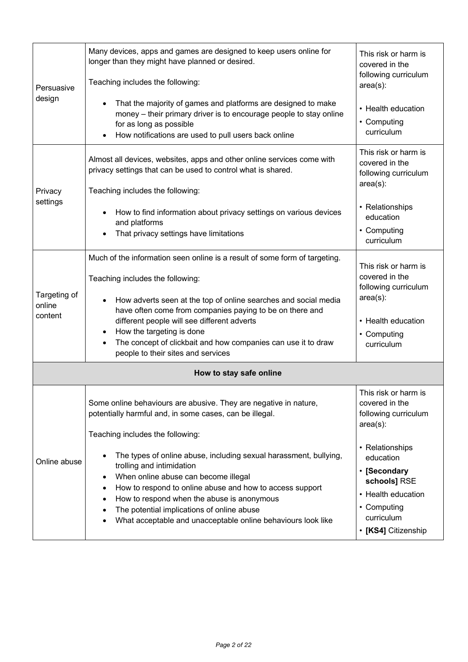| Persuasive                        | Many devices, apps and games are designed to keep users online for<br>longer than they might have planned or desired.<br>Teaching includes the following:                                                                                                                                                                                                                                                                                                  | This risk or harm is<br>covered in the<br>following curriculum<br>$area(s)$ :                                                    |
|-----------------------------------|------------------------------------------------------------------------------------------------------------------------------------------------------------------------------------------------------------------------------------------------------------------------------------------------------------------------------------------------------------------------------------------------------------------------------------------------------------|----------------------------------------------------------------------------------------------------------------------------------|
| design                            | That the majority of games and platforms are designed to make<br>money - their primary driver is to encourage people to stay online<br>for as long as possible<br>How notifications are used to pull users back online                                                                                                                                                                                                                                     | • Health education<br>• Computing<br>curriculum                                                                                  |
| Privacy                           | Almost all devices, websites, apps and other online services come with<br>privacy settings that can be used to control what is shared.<br>Teaching includes the following:                                                                                                                                                                                                                                                                                 | This risk or harm is<br>covered in the<br>following curriculum<br>$area(s)$ :                                                    |
| settings                          | How to find information about privacy settings on various devices<br>and platforms<br>That privacy settings have limitations                                                                                                                                                                                                                                                                                                                               | • Relationships<br>education<br>• Computing<br>curriculum                                                                        |
| Targeting of<br>online<br>content | Much of the information seen online is a result of some form of targeting.<br>Teaching includes the following:<br>How adverts seen at the top of online searches and social media<br>have often come from companies paying to be on there and<br>different people will see different adverts<br>How the targeting is done<br>$\bullet$<br>The concept of clickbait and how companies can use it to draw<br>$\bullet$<br>people to their sites and services | This risk or harm is<br>covered in the<br>following curriculum<br>$area(s)$ :<br>• Health education<br>• Computing<br>curriculum |
|                                   | How to stay safe online                                                                                                                                                                                                                                                                                                                                                                                                                                    |                                                                                                                                  |
| Online abuse                      | Some online behaviours are abusive. They are negative in nature,<br>potentially harmful and, in some cases, can be illegal.<br>Teaching includes the following:<br>The types of online abuse, including sexual harassment, bullying,<br>trolling and intimidation                                                                                                                                                                                          | This risk or harm is<br>covered in the<br>following curriculum<br>$area(s)$ :<br>• Relationships<br>education                    |
|                                   | When online abuse can become illegal<br>How to respond to online abuse and how to access support<br>How to respond when the abuse is anonymous<br>The potential implications of online abuse<br>What acceptable and unacceptable online behaviours look like                                                                                                                                                                                               | • [Secondary<br>schools] RSE<br>• Health education<br>• Computing<br>curriculum<br>• [KS4] Citizenship                           |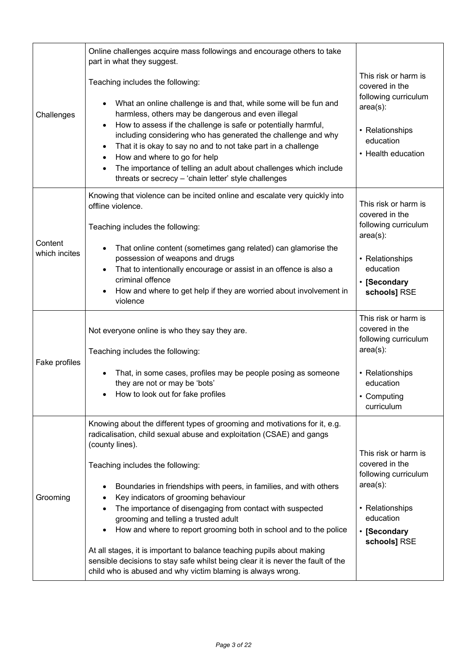|                          | Online challenges acquire mass followings and encourage others to take<br>part in what they suggest.                                                                                                                                                                                                                                                                                                                                                                                                                                                                                                                                                                                                                          |                                                                                                                                               |
|--------------------------|-------------------------------------------------------------------------------------------------------------------------------------------------------------------------------------------------------------------------------------------------------------------------------------------------------------------------------------------------------------------------------------------------------------------------------------------------------------------------------------------------------------------------------------------------------------------------------------------------------------------------------------------------------------------------------------------------------------------------------|-----------------------------------------------------------------------------------------------------------------------------------------------|
| Challenges               | Teaching includes the following:<br>What an online challenge is and that, while some will be fun and<br>harmless, others may be dangerous and even illegal<br>How to assess if the challenge is safe or potentially harmful,<br>including considering who has generated the challenge and why<br>That it is okay to say no and to not take part in a challenge<br>$\bullet$<br>How and where to go for help<br>$\bullet$<br>The importance of telling an adult about challenges which include<br>$\bullet$<br>threats or secrecy - 'chain letter' style challenges                                                                                                                                                            | This risk or harm is<br>covered in the<br>following curriculum<br>$area(s)$ :<br>• Relationships<br>education<br>• Health education           |
| Content<br>which incites | Knowing that violence can be incited online and escalate very quickly into<br>offline violence.<br>Teaching includes the following:<br>That online content (sometimes gang related) can glamorise the<br>possession of weapons and drugs<br>That to intentionally encourage or assist in an offence is also a<br>criminal offence<br>How and where to get help if they are worried about involvement in<br>violence                                                                                                                                                                                                                                                                                                           | This risk or harm is<br>covered in the<br>following curriculum<br>$area(s)$ :<br>• Relationships<br>education<br>• [Secondary<br>schools] RSE |
| Fake profiles            | Not everyone online is who they say they are.<br>Teaching includes the following:<br>That, in some cases, profiles may be people posing as someone<br>they are not or may be 'bots'<br>How to look out for fake profiles                                                                                                                                                                                                                                                                                                                                                                                                                                                                                                      | This risk or harm is<br>covered in the<br>following curriculum<br>$area(s)$ :<br>• Relationships<br>education<br>• Computing<br>curriculum    |
| Grooming                 | Knowing about the different types of grooming and motivations for it, e.g.<br>radicalisation, child sexual abuse and exploitation (CSAE) and gangs<br>(county lines).<br>Teaching includes the following:<br>Boundaries in friendships with peers, in families, and with others<br>Key indicators of grooming behaviour<br>The importance of disengaging from contact with suspected<br>grooming and telling a trusted adult<br>How and where to report grooming both in school and to the police<br>At all stages, it is important to balance teaching pupils about making<br>sensible decisions to stay safe whilst being clear it is never the fault of the<br>child who is abused and why victim blaming is always wrong. | This risk or harm is<br>covered in the<br>following curriculum<br>$area(s)$ :<br>• Relationships<br>education<br>• [Secondary<br>schools] RSE |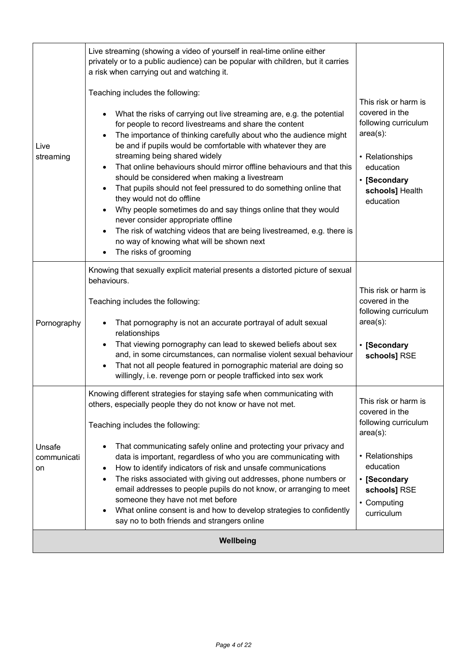| Live<br>streaming           | Live streaming (showing a video of yourself in real-time online either<br>privately or to a public audience) can be popular with children, but it carries<br>a risk when carrying out and watching it.<br>Teaching includes the following:<br>What the risks of carrying out live streaming are, e.g. the potential<br>for people to record livestreams and share the content<br>The importance of thinking carefully about who the audience might<br>be and if pupils would be comfortable with whatever they are<br>streaming being shared widely<br>That online behaviours should mirror offline behaviours and that this<br>should be considered when making a livestream<br>That pupils should not feel pressured to do something online that<br>they would not do offline<br>Why people sometimes do and say things online that they would<br>never consider appropriate offline<br>The risk of watching videos that are being livestreamed, e.g. there is<br>no way of knowing what will be shown next<br>The risks of grooming | This risk or harm is<br>covered in the<br>following curriculum<br>$area(s)$ :<br>• Relationships<br>education<br>• [Secondary<br>schools] Health<br>education              |
|-----------------------------|----------------------------------------------------------------------------------------------------------------------------------------------------------------------------------------------------------------------------------------------------------------------------------------------------------------------------------------------------------------------------------------------------------------------------------------------------------------------------------------------------------------------------------------------------------------------------------------------------------------------------------------------------------------------------------------------------------------------------------------------------------------------------------------------------------------------------------------------------------------------------------------------------------------------------------------------------------------------------------------------------------------------------------------|----------------------------------------------------------------------------------------------------------------------------------------------------------------------------|
| Pornography                 | Knowing that sexually explicit material presents a distorted picture of sexual<br>behaviours.<br>Teaching includes the following:<br>That pornography is not an accurate portrayal of adult sexual<br>relationships<br>That viewing pornography can lead to skewed beliefs about sex<br>and, in some circumstances, can normalise violent sexual behaviour<br>That not all people featured in pornographic material are doing so<br>willingly, i.e. revenge porn or people trafficked into sex work                                                                                                                                                                                                                                                                                                                                                                                                                                                                                                                                    | This risk or harm is<br>covered in the<br>following curriculum<br>$area(s)$ :<br>• [Secondary<br>schools] RSE                                                              |
| Unsafe<br>communicati<br>on | Knowing different strategies for staying safe when communicating with<br>others, especially people they do not know or have not met.<br>Teaching includes the following:<br>That communicating safely online and protecting your privacy and<br>data is important, regardless of who you are communicating with<br>How to identify indicators of risk and unsafe communications<br>٠<br>The risks associated with giving out addresses, phone numbers or<br>٠<br>email addresses to people pupils do not know, or arranging to meet<br>someone they have not met before<br>What online consent is and how to develop strategies to confidently<br>say no to both friends and strangers online                                                                                                                                                                                                                                                                                                                                          | This risk or harm is<br>covered in the<br>following curriculum<br>$area(s)$ :<br>• Relationships<br>education<br>• [Secondary<br>schools] RSE<br>• Computing<br>curriculum |
|                             | Wellbeing                                                                                                                                                                                                                                                                                                                                                                                                                                                                                                                                                                                                                                                                                                                                                                                                                                                                                                                                                                                                                              |                                                                                                                                                                            |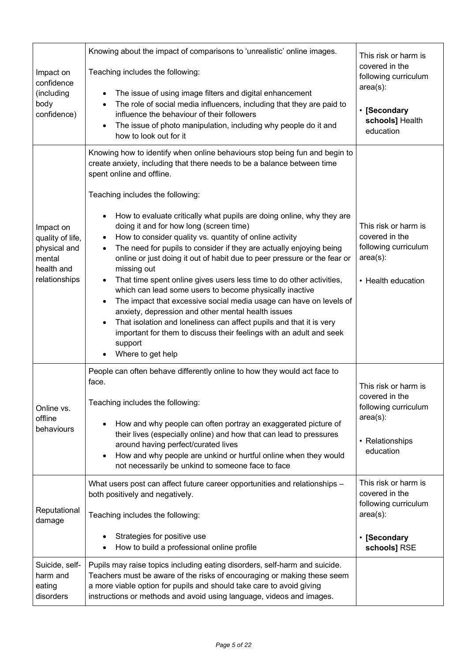| Impact on<br>confidence<br>(including<br>body<br>confidence)                           | Knowing about the impact of comparisons to 'unrealistic' online images.<br>Teaching includes the following:<br>The issue of using image filters and digital enhancement<br>٠<br>The role of social media influencers, including that they are paid to<br>٠<br>influence the behaviour of their followers<br>The issue of photo manipulation, including why people do it and<br>how to look out for it                                                                                                                                                                                                                                                                                                                                                                                                                                                                                                                                                                                                                                                       | This risk or harm is<br>covered in the<br>following curriculum<br>$area(s)$ :<br>• [Secondary<br>schools] Health<br>education         |
|----------------------------------------------------------------------------------------|-------------------------------------------------------------------------------------------------------------------------------------------------------------------------------------------------------------------------------------------------------------------------------------------------------------------------------------------------------------------------------------------------------------------------------------------------------------------------------------------------------------------------------------------------------------------------------------------------------------------------------------------------------------------------------------------------------------------------------------------------------------------------------------------------------------------------------------------------------------------------------------------------------------------------------------------------------------------------------------------------------------------------------------------------------------|---------------------------------------------------------------------------------------------------------------------------------------|
| Impact on<br>quality of life,<br>physical and<br>mental<br>health and<br>relationships | Knowing how to identify when online behaviours stop being fun and begin to<br>create anxiety, including that there needs to be a balance between time<br>spent online and offline.<br>Teaching includes the following:<br>How to evaluate critically what pupils are doing online, why they are<br>doing it and for how long (screen time)<br>How to consider quality vs. quantity of online activity<br>$\bullet$<br>The need for pupils to consider if they are actually enjoying being<br>$\bullet$<br>online or just doing it out of habit due to peer pressure or the fear or<br>missing out<br>That time spent online gives users less time to do other activities,<br>which can lead some users to become physically inactive<br>The impact that excessive social media usage can have on levels of<br>anxiety, depression and other mental health issues<br>That isolation and loneliness can affect pupils and that it is very<br>$\bullet$<br>important for them to discuss their feelings with an adult and seek<br>support<br>Where to get help | This risk or harm is<br>covered in the<br>following curriculum<br>$area(s)$ :<br>• Health education                                   |
| Online vs.<br>offline<br>behaviours                                                    | People can often behave differently online to how they would act face to<br>face.<br>Teaching includes the following:<br>How and why people can often portray an exaggerated picture of<br>their lives (especially online) and how that can lead to pressures<br>around having perfect/curated lives<br>How and why people are unkind or hurtful online when they would<br>not necessarily be unkind to someone face to face<br>What users post can affect future career opportunities and relationships -                                                                                                                                                                                                                                                                                                                                                                                                                                                                                                                                                  | This risk or harm is<br>covered in the<br>following curriculum<br>$area(s)$ :<br>• Relationships<br>education<br>This risk or harm is |
| Reputational<br>damage                                                                 | both positively and negatively.<br>Teaching includes the following:<br>Strategies for positive use<br>How to build a professional online profile                                                                                                                                                                                                                                                                                                                                                                                                                                                                                                                                                                                                                                                                                                                                                                                                                                                                                                            | covered in the<br>following curriculum<br>$area(s)$ :<br>• [Secondary<br>schools] RSE                                                 |
| Suicide, self-<br>harm and<br>eating<br>disorders                                      | Pupils may raise topics including eating disorders, self-harm and suicide.<br>Teachers must be aware of the risks of encouraging or making these seem<br>a more viable option for pupils and should take care to avoid giving<br>instructions or methods and avoid using language, videos and images.                                                                                                                                                                                                                                                                                                                                                                                                                                                                                                                                                                                                                                                                                                                                                       |                                                                                                                                       |